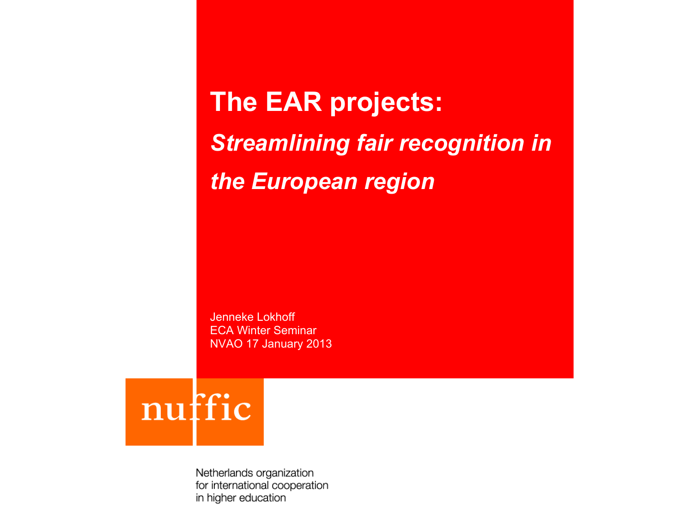**The EAR projects:**  *Streamlining fair recognition in the European region*

Jenneke Lokhoff ECA Winter Seminar NVAO 17 January 2013

nuffic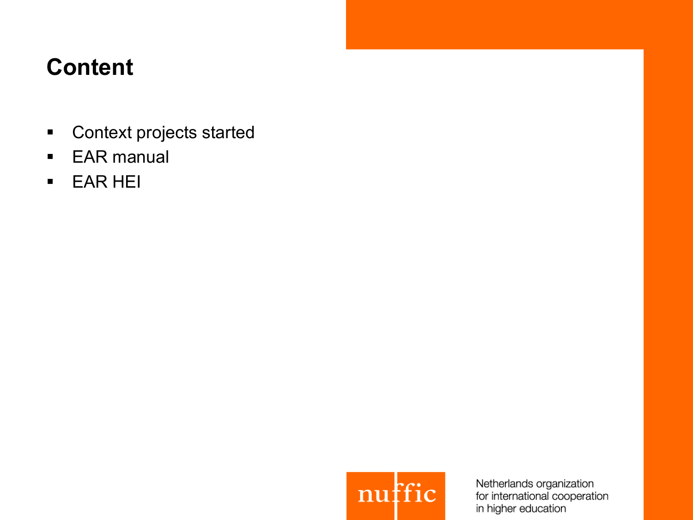### **Content**

- Context projects started
- EAR manual
- § EAR HEI

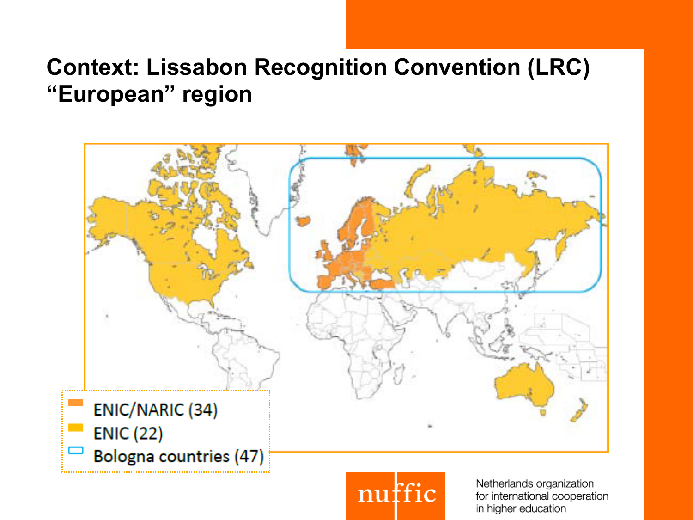#### **Context: Lissabon Recognition Convention (LRC) "European" region**



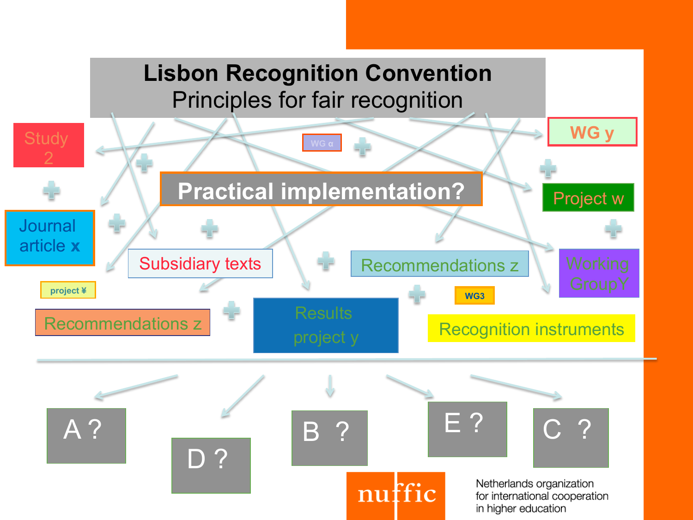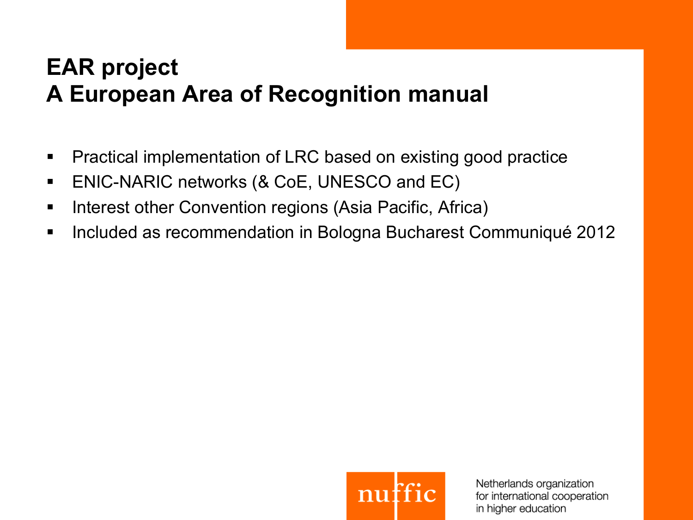## **EAR project A European Area of Recognition manual**

- Practical implementation of LRC based on existing good practice
- § ENIC-NARIC networks (& CoE, UNESCO and EC)
- **Interest other Convention regions (Asia Pacific, Africa)**
- § Included as recommendation in Bologna Bucharest Communiqué 2012

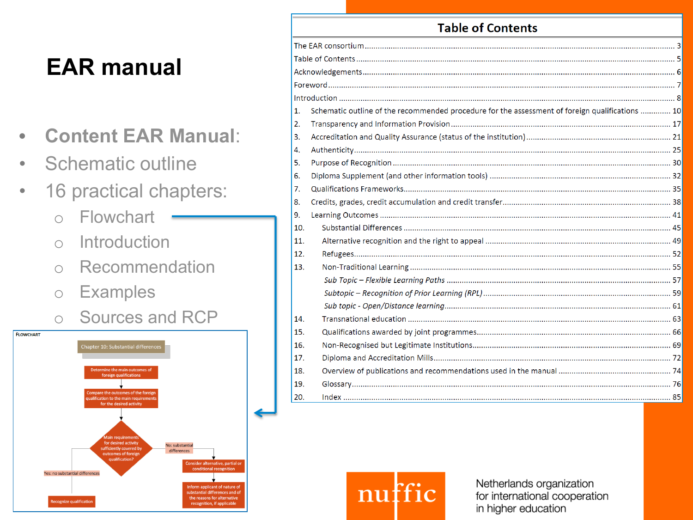# **EAR manual**

- **Content EAR Manual**:
- Schematic outline
- 16 practical chapters:
	- o Flowchart
	- o Introduction
	- o Recommendation
	- o Examples
	- o Sources and RCP



|     | LANIC UL CULILEIILS                                                                             |  |
|-----|-------------------------------------------------------------------------------------------------|--|
|     |                                                                                                 |  |
|     |                                                                                                 |  |
|     |                                                                                                 |  |
|     |                                                                                                 |  |
|     |                                                                                                 |  |
| 1.  | Schematic outline of the recommended procedure for the assessment of foreign qualifications  10 |  |
| 2.  |                                                                                                 |  |
| 3.  |                                                                                                 |  |
| 4.  |                                                                                                 |  |
| 5.  |                                                                                                 |  |
| 6.  |                                                                                                 |  |
| 7.  |                                                                                                 |  |
| 8.  |                                                                                                 |  |
| 9.  |                                                                                                 |  |
| 10. |                                                                                                 |  |
| 11. |                                                                                                 |  |
| 12. |                                                                                                 |  |
| 13. |                                                                                                 |  |
|     |                                                                                                 |  |
|     |                                                                                                 |  |
|     |                                                                                                 |  |
| 14. |                                                                                                 |  |
| 15. |                                                                                                 |  |
| 16. |                                                                                                 |  |
| 17. |                                                                                                 |  |
| 18. |                                                                                                 |  |
| 19. |                                                                                                 |  |
| 20. |                                                                                                 |  |
|     |                                                                                                 |  |

Table of Contents

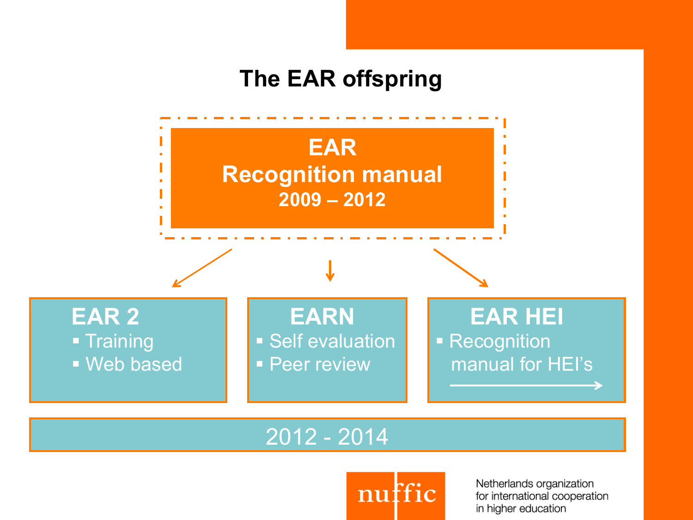#### **The EAR offspring**



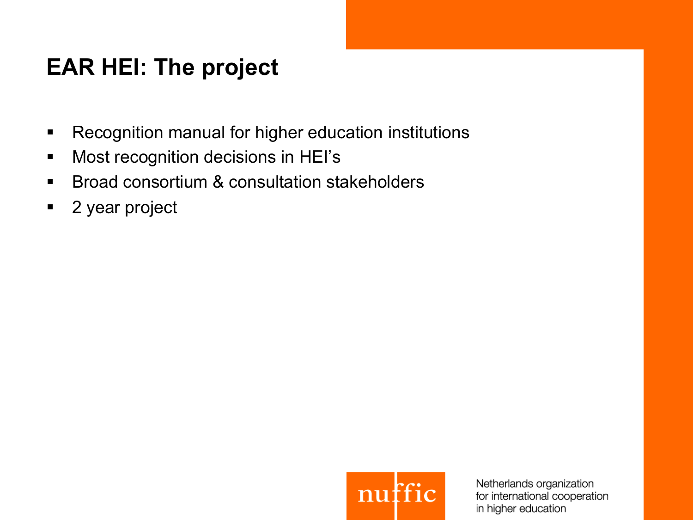## **EAR HEI: The project**

- **Recognition manual for higher education institutions**
- **Most recognition decisions in HEI's**
- Broad consortium & consultation stakeholders
- 2 year project

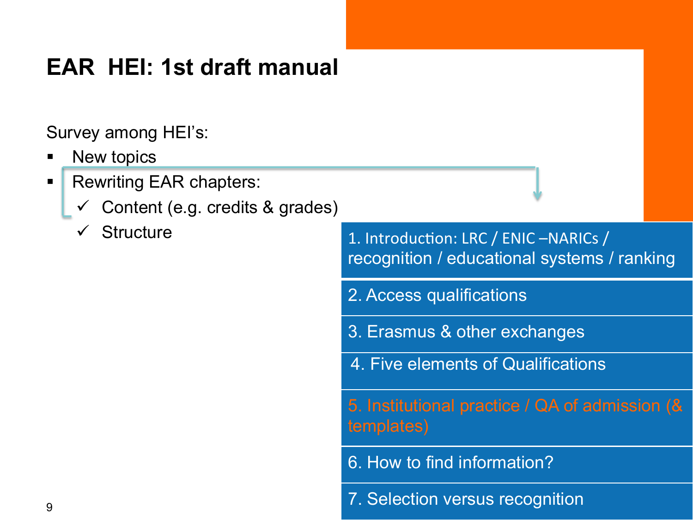## **EAR HEI: 1st draft manual**

Survey among HEI's:

- New topics
- Rewriting EAR chapters:
	- Content (e.g. credits & grades)
	- $\checkmark$  Structure

1. Introduction: LRC / ENIC -NARICs / recognition / educational systems / ranking

- 2. Access qualifications
- 3. Erasmus & other exchanges
- 4. Five elements of Qualifications

5. Institutional practice / QA of admission (& templates)

- 6. How to find information?
- 7. Selection versus recognition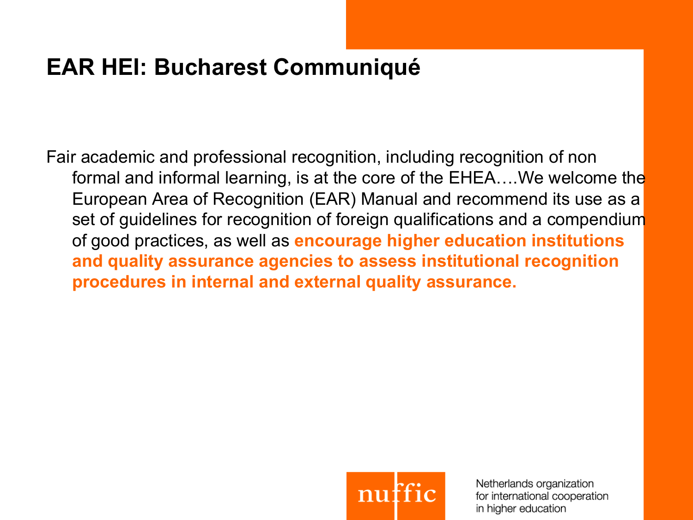## **EAR HEI: Bucharest Communiqué**

Fair academic and professional recognition, including recognition of non formal and informal learning, is at the core of the EHEA….We welcome the European Area of Recognition (EAR) Manual and recommend its use as a set of guidelines for recognition of foreign qualifications and a compendium of good practices, as well as **encourage higher education institutions and quality assurance agencies to assess institutional recognition procedures in internal and external quality assurance.** 

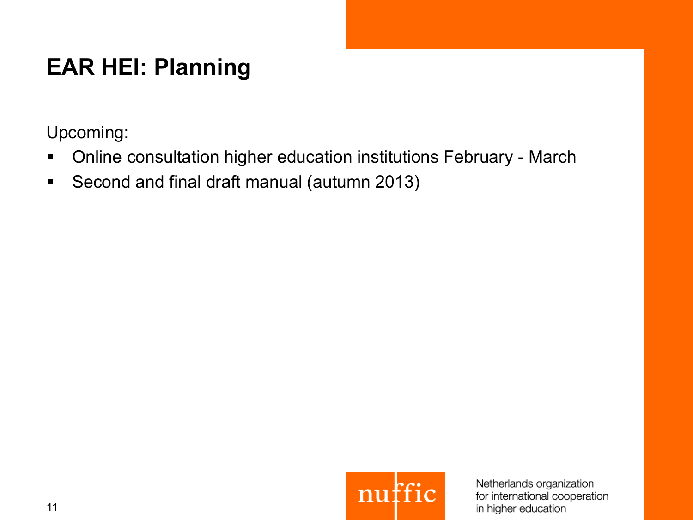# **EAR HEI: Planning**

Upcoming:

- **Online consultation higher education institutions February March**
- Second and final draft manual (autumn 2013)